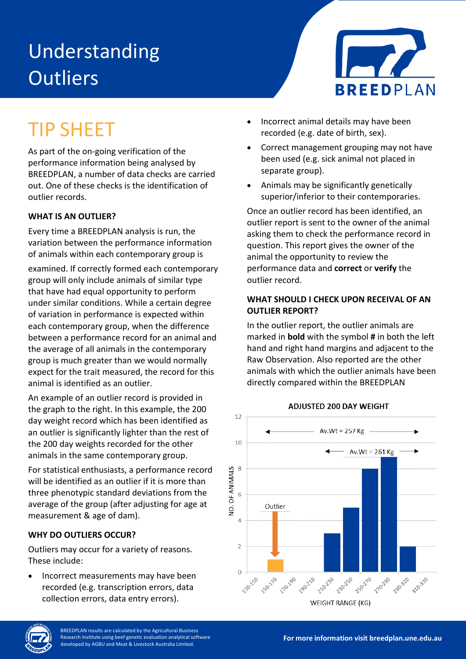# Understanding **Outliers**



## TIP SHEET

As part of the on-going verification of the performance information being analysed by BREEDPLAN, a number of data checks are carried out. One of these checks is the identification of outlier records.

### **WHAT IS AN OUTLIER?**

Every time a BREEDPLAN analysis is run, the variation between the performance information of animals within each contemporary group is

examined. If correctly formed each contemporary group will only include animals of similar type that have had equal opportunity to perform under similar conditions. While a certain degree of variation in performance is expected within each contemporary group, when the difference between a performance record for an animal and the average of all animals in the contemporary group is much greater than we would normally expect for the trait measured, the record for this animal is identified as an outlier.

An example of an outlier record is provided in the graph to the right. In this example, the 200 day weight record which has been identified as an outlier is significantly lighter than the rest of the 200 day weights recorded for the other animals in the same contemporary group.

For statistical enthusiasts, a performance record will be identified as an outlier if it is more than three phenotypic standard deviations from the average of the group (after adjusting for age at measurement & age of dam).

#### **WHY DO OUTLIERS OCCUR?**

Outliers may occur for a variety of reasons. These include:

• Incorrect measurements may have been recorded (e.g. transcription errors, data collection errors, data entry errors).

- Incorrect animal details may have been recorded (e.g. date of birth, sex).
- Correct management grouping may not have been used (e.g. sick animal not placed in separate group).
- Animals may be significantly genetically superior/inferior to their contemporaries.

Once an outlier record has been identified, an outlier report is sent to the owner of the animal asking them to check the performance record in question. This report gives the owner of the animal the opportunity to review the performance data and **correct** or **verify** the outlier record.

#### **WHAT SHOULD I CHECK UPON RECEIVAL OF AN OUTLIER REPORT?**

In the outlier report, the outlier animals are marked in **bold** with the symbol **#** in both the left hand and right hand margins and adjacent to the Raw Observation. Also reported are the other animals with which the outlier animals have been directly compared within the BREEDPLAN



#### **ADJUSTED 200 DAY WEIGHT**